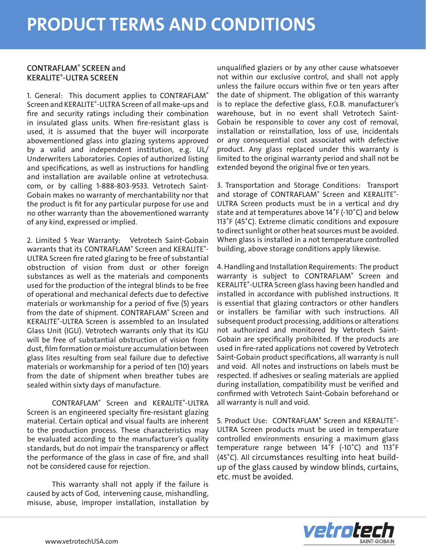## CONTRAFLAM® SCREEN and KERALITE® -ULTRA SCREEN

1. General: This document applies to CONTRAFLAM® Screen and KERALITE® -ULTRA Screen of all make-ups and fire and security ratings including their combination in insulated glass units. When fire-resistant glass is used, it is assumed that the buyer will incorporate abovementioned glass into glazing systems approved by a valid and independent institution, e.g. UL/ Underwriters Laboratories. Copies of authorized listing and specifications, as well as instructions for handling and installation are available online at vetrotechusa. com, or by calling 1-888-803-9533. Vetrotech Saint-Gobain makes no warranty of merchantability nor that the product is fit for any particular purpose for use and no other warranty than the abovementioned warranty of any kind, expressed or implied.

2. Limited 5 Year Warranty: Vetrotech Saint-Gobain warrants that its CONTRAFLAM<sup>®</sup> Screen and KERALITE<sup>®</sup>-ULTRA Screen fire rated glazing to be free of substantial obstruction of vision from dust or other foreign substances as well as the materials and components used for the production of the integral blinds to be free of operational and mechanical defects due to defective materials or workmanship for a period of five (5) years from the date of shipment. CONTRAFLAM® Screen and KERALITE® -ULTRA Screen is assembled to an Insulated Glass Unit (IGU). Vetrotech warrants only that its IGU will be free of substantial obstruction of vision from dust, film formation or moisture accumulation between glass lites resulting from seal failure due to defective materials or workmanship for a period of ten (10) years from the date of shipment when breather tubes are sealed within sixty days of manufacture.

CONTRAFLAM® Screen and KERALITE® -ULTRA Screen is an engineered specialty fire-resistant glazing material. Certain optical and visual faults are inherent to the production process. These characteristics may be evaluated according to the manufacturer's quality standards, but do not impair the transparency or affect the performance of the glass in case of fire, and shall not be considered cause for rejection.

This warranty shall not apply if the failure is caused by acts of God, intervening cause, mishandling, misuse, abuse, improper installation, installation by unqualified glaziers or by any other cause whatsoever not within our exclusive control, and shall not apply unless the failure occurs within five or ten years after the date of shipment. The obligation of this warranty is to replace the defective glass, F.O.B. manufacturer's warehouse, but in no event shall Vetrotech Saint-Gobain be responsible to cover any cost of removal, installation or reinstallation, loss of use, incidentals or any consequential cost associated with defective product. Any glass replaced under this warranty is limited to the original warranty period and shall not be extended beyond the original five or ten years.

3. Transportation and Storage Conditions: Transport and storage of CONTRAFLAM® Screen and KERALITE®-ULTRA Screen products must be in a vertical and dry state and at temperatures above 14˚F (-10˚C) and below 113˚F (45˚C). Extreme climatic conditions and exposure to direct sunlight or other heat sources must be avoided. When glass is installed in a not temperature controlled building, above storage conditions apply likewise.

4. Handling and Installation Requirements: The product warranty is subject to CONTRAFLAM® Screen and KERALITE® -ULTRA Screen glass having been handled and installed in accordance with published instructions. It is essential that glazing contractors or other handlers or installers be familiar with such instructions. All subsequent product processing, additions or alterations not authorized and monitored by Vetrotech Saint-Gobain are specifically prohibited. If the products are used in fire-rated applications not covered by Vetrotech Saint-Gobain product specifications, all warranty is null and void. All notes and instructions on labels must be respected. If adhesives or sealing materials are applied during installation, compatibility must be verified and confirmed with Vetrotech Saint-Gobain beforehand or all warranty is null and void.

5. Product Use: CONTRAFLAM® Screen and KERALITE®-ULTRA Screen products must be used in temperature controlled environments ensuring a maximum glass temperature range between 14˚F (-10˚C) and 113˚F (45˚C). All circumstances resulting into heat buildup of the glass caused by window blinds, curtains, etc. must be avoided.

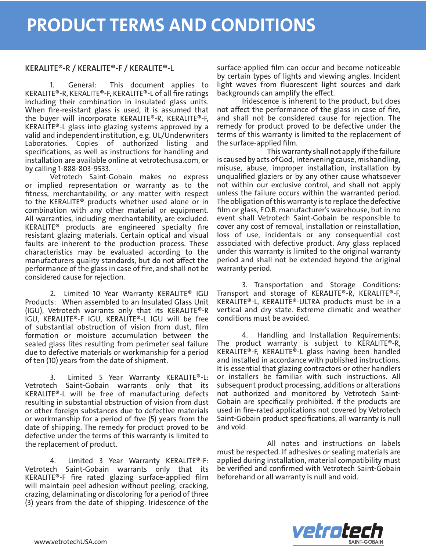## KERALITE®-R / KERALITE®-F / KERALITE®-L

1. General: This document applies to KERALITE®-R, KERALITE®-F, KERALITE®-L of all fire ratings including their combination in insulated glass units. When fire-resistant glass is used, it is assumed that the buyer will incorporate KERALITE®-R, KERALITE®-F, KERALITE®-L glass into glazing systems approved by a valid and independent institution, e.g. UL/Underwriters Laboratories. Copies of authorized listing and specifications, as well as instructions for handling and installation are available online at vetrotechusa.com, or by calling 1-888-803-9533.

Vetrotech Saint-Gobain makes no express or implied representation or warranty as to the fitness, merchantability, or any matter with respect to the KERALITE® products whether used alone or in combination with any other material or equipment. All warranties, including merchantability, are excluded. KERALITE® products are engineered specialty fire resistant glazing materials. Certain optical and visual faults are inherent to the production process. These characteristics may be evaluated according to the manufacturers quality standards, but do not affect the performance of the glass in case of fire, and shall not be considered cause for rejection.

2. Limited 10 Year Warranty KERALITE® IGU Products: When assembled to an Insulated Glass Unit (IGU), Vetrotech warrants only that its KERALITE®-R IGU, KERALITE®-F IGU, KERALITE®-L IGU will be free of substantial obstruction of vision from dust, film formation or moisture accumulation between the sealed glass lites resulting from perimeter seal failure due to defective materials or workmanship for a period of ten (10) years from the date of shipment.

3. Limited 5 Year Warranty KERALITE®-L: Vetrotech Saint-Gobain warrants only that its KERALITE®-L will be free of manufacturing defects resulting in substantial obstruction of vision from dust or other foreign substances due to defective materials or workmanship for a period of five (5) years from the date of shipping. The remedy for product proved to be defective under the terms of this warranty is limited to the replacement of product.

4. Limited 3 Year Warranty KERALITE®-F: Vetrotech Saint-Gobain warrants only that its KERALITE®-F fire rated glazing surface-applied film will maintain peel adhesion without peeling, cracking, crazing, delaminating or discoloring for a period of three (3) years from the date of shipping. Iridescence of the

surface-applied film can occur and become noticeable by certain types of lights and viewing angles. Incident light waves from fluorescent light sources and dark backgrounds can amplify the effect.

Iridescence is inherent to the product, but does not affect the performance of the glass in case of fire, and shall not be considered cause for rejection. The remedy for product proved to be defective under the terms of this warranty is limited to the replacement of the surface-applied film.

This warranty shall not apply if the failure is caused by acts of God, intervening cause, mishandling, misuse, abuse, improper installation, installation by unqualified glaziers or by any other cause whatsoever not within our exclusive control, and shall not apply unless the failure occurs within the warranted period. The obligation of this warranty is to replace the defective film or glass, F.O.B. manufacturer's warehouse, but in no event shall Vetrotech Saint-Gobain be responsible to cover any cost of removal, installation or reinstallation, loss of use, incidentals or any consequential cost associated with defective product. Any glass replaced under this warranty is limited to the original warranty period and shall not be extended beyond the original warranty period.

3. Transportation and Storage Conditions: Transport and storage of KERALITE®-R, KERALITE®-F, KERALITE®-L, KERALITE®-ULTRA products must be in a vertical and dry state. Extreme climatic and weather conditions must be avoided.

4. Handling and Installation Requirements: The product warranty is subject to KERALITE®-R, KERALITE®-F, KERALITE®-L glass having been handled and installed in accordance with published instructions. It is essential that glazing contractors or other handlers or installers be familiar with such instructions. All subsequent product processing, additions or alterations not authorized and monitored by Vetrotech Saint-Gobain are specifically prohibited. If the products are used in fire-rated applications not covered by Vetrotech Saint-Gobain product specifications, all warranty is null and void.

All notes and instructions on labels must be respected. If adhesives or sealing materials are applied during installation, material compatibility must be verified and confirmed with Vetrotech Saint-Gobain beforehand or all warranty is null and void.

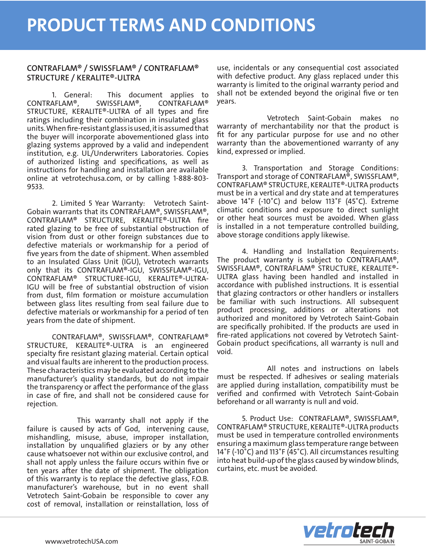## CONTRAFLAM® / SWISSFLAM® / CONTRAFLAM® STRUCTURE / KERALITE®-ULTRA

1. General: This document applies to CONTRAFLAM®, SWISSFLAM®, CONTRAFLAM® STRUCTURE, KERALITE®-ULTRA of all types and fire ratings including their combination in insulated glass units. When fire-resistant glass is used, it is assumed that the buyer will incorporate abovementioned glass into glazing systems approved by a valid and independent institution, e.g. UL/Underwriters Laboratories. Copies of authorized listing and specifications, as well as instructions for handling and installation are available online at vetrotechusa.com, or by calling 1-888-803- 9533.

2. Limited 5 Year Warranty: Vetrotech Saint-Gobain warrants that its CONTRAFLAM®, SWISSFLAM®, CONTRAFLAM® STRUCTURE, KERALITE®-ULTRA fire rated glazing to be free of substantial obstruction of vision from dust or other foreign substances due to defective materials or workmanship for a period of five years from the date of shipment. When assembled to an Insulated Glass Unit (IGU), Vetrotech warrants only that its CONTRAFLAM®-IGU, SWISSFLAM®-IGU, CONTRAFLAM® STRUCTURE-IGU, KERALITE®-ULTRA-IGU will be free of substantial obstruction of vision from dust, film formation or moisture accumulation between glass lites resulting from seal failure due to defective materials or workmanship for a period of ten years from the date of shipment.

CONTRAFLAM®, SWISSFLAM®, CONTRAFLAM® STRUCTURE, KERALITE®-ULTRA is an engineered specialty fire resistant glazing material. Certain optical and visual faults are inherent to the production process. These characteristics may be evaluated according to the manufacturer's quality standards, but do not impair the transparency or affect the performance of the glass in case of fire, and shall not be considered cause for rejection.

This warranty shall not apply if the failure is caused by acts of God, intervening cause, mishandling, misuse, abuse, improper installation, installation by unqualified glaziers or by any other cause whatsoever not within our exclusive control, and shall not apply unless the failure occurs within five or ten years after the date of shipment. The obligation of this warranty is to replace the defective glass, F.O.B. manufacturer's warehouse, but in no event shall Vetrotech Saint-Gobain be responsible to cover any cost of removal, installation or reinstallation, loss of

use, incidentals or any consequential cost associated with defective product. Any glass replaced under this warranty is limited to the original warranty period and shall not be extended beyond the original five or ten years.

Vetrotech Saint-Gobain makes no warranty of merchantability nor that the product is fit for any particular purpose for use and no other warranty than the abovementioned warranty of any kind, expressed or implied.

3. Transportation and Storage Conditions: Transport and storage of CONTRAFLAM®, SWISSFLAM®, CONTRAFLAM® STRUCTURE, KERALITE®-ULTRA products must be in a vertical and dry state and at temperatures above 14˚F (-10˚C) and below 113˚F (45˚C). Extreme climatic conditions and exposure to direct sunlight or other heat sources must be avoided. When glass is installed in a not temperature controlled building, above storage conditions apply likewise.

4. Handling and Installation Requirements: The product warranty is subject to CONTRAFLAM®, SWISSFLAM®, CONTRAFLAM® STRUCTURE, KERALITE®- ULTRA glass having been handled and installed in accordance with published instructions. It is essential that glazing contractors or other handlers or installers be familiar with such instructions. All subsequent product processing, additions or alterations not authorized and monitored by Vetrotech Saint-Gobain are specifically prohibited. If the products are used in fire-rated applications not covered by Vetrotech Saint-Gobain product specifications, all warranty is null and void.

All notes and instructions on labels must be respected. If adhesives or sealing materials are applied during installation, compatibility must be verified and confirmed with Vetrotech Saint-Gobain beforehand or all warranty is null and void.

5. Product Use: CONTRAFLAM®, SWISSFLAM®, CONTRAFLAM® STRUCTURE, KERALITE®-ULTRA products must be used in temperature controlled environments ensuring a maximum glass temperature range between 14˚F (-10˚C) and 113˚F (45˚C). All circumstances resulting into heat build-up of the glass caused by window blinds, curtains, etc. must be avoided.